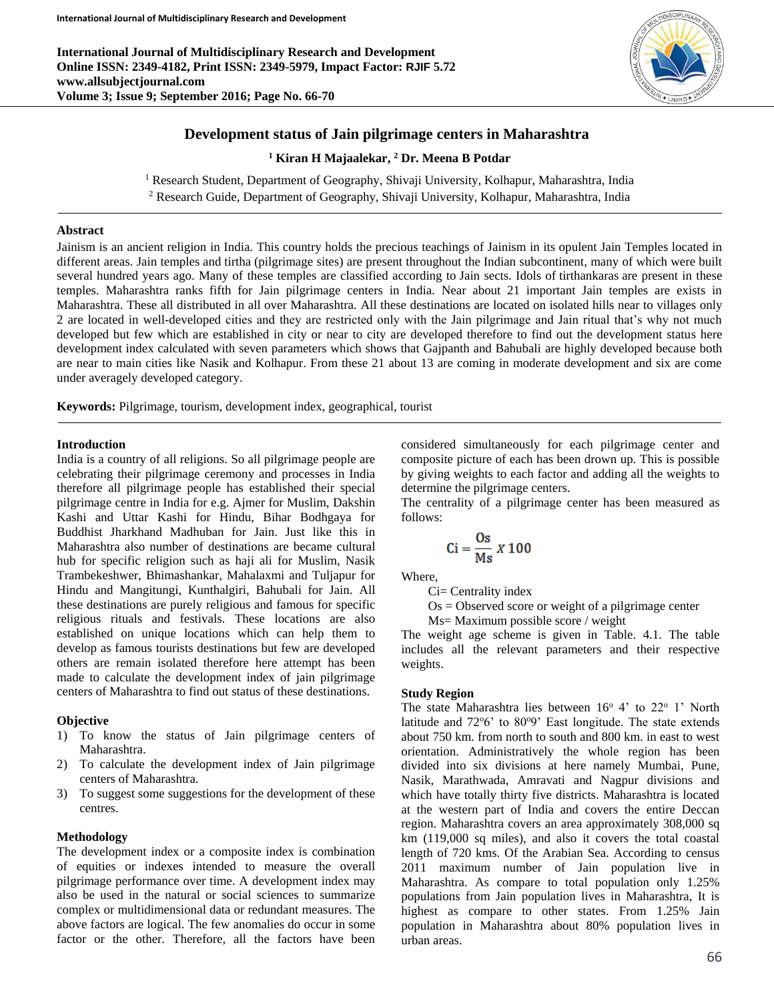**International Journal of Multidisciplinary Research and Development Online ISSN: 2349-4182, Print ISSN: 2349-5979, Impact Factor: RJIF 5.72 www.allsubjectjournal.com Volume 3; Issue 9; September 2016; Page No. 66-70**



### **Development status of Jain pilgrimage centers in Maharashtra**

**<sup>1</sup> Kiran H Majaalekar, <sup>2</sup> Dr. Meena B Potdar**

<sup>1</sup> Research Student, Department of Geography, Shivaji University, Kolhapur, Maharashtra, India

<sup>2</sup> Research Guide, Department of Geography, Shivaji University, Kolhapur, Maharashtra, India

#### **Abstract**

Jainism is an ancient religion in India. This country holds the precious teachings of Jainism in its opulent Jain Temples located in different areas. Jain temples and tirtha (pilgrimage sites) are present throughout the Indian subcontinent, many of which were built several hundred years ago. Many of these temples are classified according to Jain sects. Idols of tirthankaras are present in these temples. Maharashtra ranks fifth for Jain pilgrimage centers in India. Near about 21 important Jain temples are exists in Maharashtra. These all distributed in all over Maharashtra. All these destinations are located on isolated hills near to villages only 2 are located in well-developed cities and they are restricted only with the Jain pilgrimage and Jain ritual that's why not much developed but few which are established in city or near to city are developed therefore to find out the development status here development index calculated with seven parameters which shows that Gajpanth and Bahubali are highly developed because both are near to main cities like Nasik and Kolhapur. From these 21 about 13 are coming in moderate development and six are come under averagely developed category.

**Keywords:** Pilgrimage, tourism, development index, geographical, tourist

### **Introduction**

India is a country of all religions. So all pilgrimage people are celebrating their pilgrimage ceremony and processes in India therefore all pilgrimage people has established their special pilgrimage centre in India for e.g. Ajmer for Muslim, Dakshin Kashi and Uttar Kashi for Hindu, Bihar Bodhgaya for Buddhist Jharkhand Madhuban for Jain. Just like this in Maharashtra also number of destinations are became cultural hub for specific religion such as haji ali for Muslim, Nasik Trambekeshwer, Bhimashankar, Mahalaxmi and Tuljapur for Hindu and Mangitungi, Kunthalgiri, Bahubali for Jain. All these destinations are purely religious and famous for specific religious rituals and festivals. These locations are also established on unique locations which can help them to develop as famous tourists destinations but few are developed others are remain isolated therefore here attempt has been made to calculate the development index of jain pilgrimage centers of Maharashtra to find out status of these destinations.

#### **Objective**

- 1) To know the status of Jain pilgrimage centers of Maharashtra.
- 2) To calculate the development index of Jain pilgrimage centers of Maharashtra.
- 3) To suggest some suggestions for the development of these centres.

#### **Methodology**

The development index or a composite index is combination of equities or indexes intended to measure the overall pilgrimage performance over time. A development index may also be used in the natural or social sciences to summarize complex or multidimensional data or redundant measures. The above factors are logical. The few anomalies do occur in some factor or the other. Therefore, all the factors have been considered simultaneously for each pilgrimage center and composite picture of each has been drown up. This is possible by giving weights to each factor and adding all the weights to determine the pilgrimage centers.

The centrality of a pilgrimage center has been measured as follows:

$$
Ci = \frac{Os}{Ms} \times 100
$$

Where,

Ci= Centrality index

 $Os = Observed score or weight of a pilgrimage center$ 

Ms= Maximum possible score / weight

The weight age scheme is given in Table. 4.1. The table includes all the relevant parameters and their respective weights.

#### **Study Region**

The state Maharashtra lies between  $16^{\circ}$  4' to  $22^{\circ}$  1' North latitude and  $72^{\circ}6'$  to  $80^{\circ}9'$  East longitude. The state extends about 750 km. from north to south and 800 km. in east to west orientation. Administratively the whole region has been divided into six divisions at here namely Mumbai, Pune, Nasik, Marathwada, Amravati and Nagpur divisions and which have totally thirty five districts. Maharashtra is located at the western part of India and covers the entire Deccan region. Maharashtra covers an area approximately 308,000 sq km (119,000 sq miles), and also it covers the total coastal length of 720 kms. Of the Arabian Sea. According to census 2011 maximum number of Jain population live in Maharashtra. As compare to total population only 1.25% populations from Jain population lives in Maharashtra, It is highest as compare to other states. From 1.25% Jain population in Maharashtra about 80% population lives in urban areas.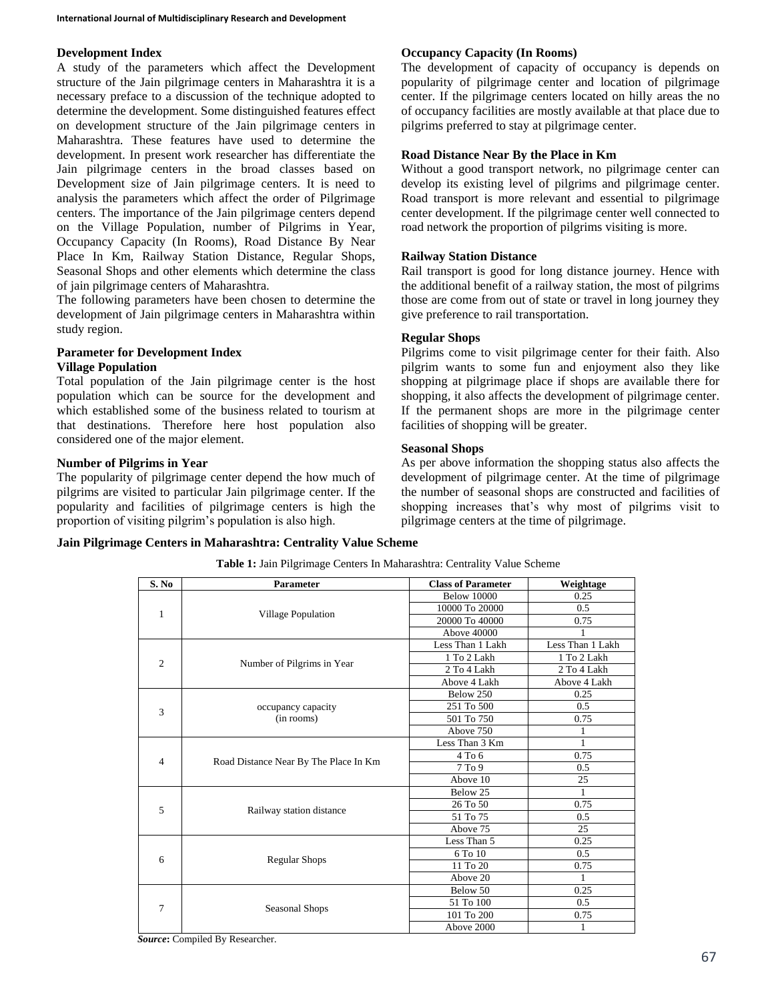## **Development Index**

A study of the parameters which affect the Development structure of the Jain pilgrimage centers in Maharashtra it is a necessary preface to a discussion of the technique adopted to determine the development. Some distinguished features effect on development structure of the Jain pilgrimage centers in Maharashtra. These features have used to determine the development. In present work researcher has differentiate the Jain pilgrimage centers in the broad classes based on Development size of Jain pilgrimage centers. It is need to analysis the parameters which affect the order of Pilgrimage centers. The importance of the Jain pilgrimage centers depend on the Village Population, number of Pilgrims in Year, Occupancy Capacity (In Rooms), Road Distance By Near Place In Km, Railway Station Distance, Regular Shops, Seasonal Shops and other elements which determine the class of jain pilgrimage centers of Maharashtra.

The following parameters have been chosen to determine the development of Jain pilgrimage centers in Maharashtra within study region.

# **Parameter for Development Index**

# **Village Population**

Total population of the Jain pilgrimage center is the host population which can be source for the development and which established some of the business related to tourism at that destinations. Therefore here host population also considered one of the major element.

# **Number of Pilgrims in Year**

The popularity of pilgrimage center depend the how much of pilgrims are visited to particular Jain pilgrimage center. If the popularity and facilities of pilgrimage centers is high the proportion of visiting pilgrim's population is also high.

# **Occupancy Capacity (In Rooms)**

The development of capacity of occupancy is depends on popularity of pilgrimage center and location of pilgrimage center. If the pilgrimage centers located on hilly areas the no of occupancy facilities are mostly available at that place due to pilgrims preferred to stay at pilgrimage center.

# **Road Distance Near By the Place in Km**

Without a good transport network, no pilgrimage center can develop its existing level of pilgrims and pilgrimage center. Road transport is more relevant and essential to pilgrimage center development. If the pilgrimage center well connected to road network the proportion of pilgrims visiting is more.

# **Railway Station Distance**

Rail transport is good for long distance journey. Hence with the additional benefit of a railway station, the most of pilgrims those are come from out of state or travel in long journey they give preference to rail transportation.

# **Regular Shops**

Pilgrims come to visit pilgrimage center for their faith. Also pilgrim wants to some fun and enjoyment also they like shopping at pilgrimage place if shops are available there for shopping, it also affects the development of pilgrimage center. If the permanent shops are more in the pilgrimage center facilities of shopping will be greater.

# **Seasonal Shops**

As per above information the shopping status also affects the development of pilgrimage center. At the time of pilgrimage the number of seasonal shops are constructed and facilities of shopping increases that's why most of pilgrims visit to pilgrimage centers at the time of pilgrimage.

# **Jain Pilgrimage Centers in Maharashtra: Centrality Value Scheme**

| S. No          | <b>Parameter</b>                      | <b>Class of Parameter</b> | Weightage        |
|----------------|---------------------------------------|---------------------------|------------------|
|                |                                       | <b>Below 10000</b>        | 0.25             |
| 1              |                                       | 10000 To 20000            | 0.5              |
|                | <b>Village Population</b>             | 20000 To 40000            | 0.75             |
|                |                                       | Above 40000               |                  |
|                |                                       | Less Than 1 Lakh          | Less Than 1 Lakh |
| $\overline{c}$ | Number of Pilgrims in Year            | 1 To 2 Lakh               | 1 To 2 Lakh      |
|                |                                       | 2 To 4 Lakh               | 2 To 4 Lakh      |
|                |                                       | Above 4 Lakh              | Above 4 Lakh     |
|                |                                       | Below 250                 | 0.25             |
| 3              | occupancy capacity                    | 251 To 500                | 0.5              |
|                | (in rooms)                            | 501 To 750                | 0.75             |
|                |                                       | Above 750                 | 1                |
|                | Road Distance Near By The Place In Km | Less Than 3 Km            | 1                |
| $\overline{4}$ |                                       | 4 To 6                    | 0.75             |
|                |                                       | 7T <sub>0</sub> 9         | 0.5              |
|                |                                       | Above 10                  | 25               |
|                |                                       | Below 25                  | 1                |
| 5              | Railway station distance              | 26 To 50                  | 0.75             |
|                |                                       | 51 To 75                  | 0.5              |
|                |                                       | Above 75                  | 25               |
|                |                                       | Less Than 5               | 0.25             |
|                |                                       | 6 To 10                   | 0.5              |
| 6              | <b>Regular Shops</b>                  | 11 To 20                  | 0.75             |
|                |                                       | Above 20                  | 1                |
|                |                                       | Below 50                  | 0.25             |
| 7              |                                       | $51\ {\rm To}\ 100$       | 0.5              |
|                | Seasonal Shops                        | 101 To 200                | 0.75             |
|                |                                       | Above 2000                | $\mathbf{1}$     |

**Table 1:** Jain Pilgrimage Centers In Maharashtra: Centrality Value Scheme

*Source***:** Compiled By Researcher.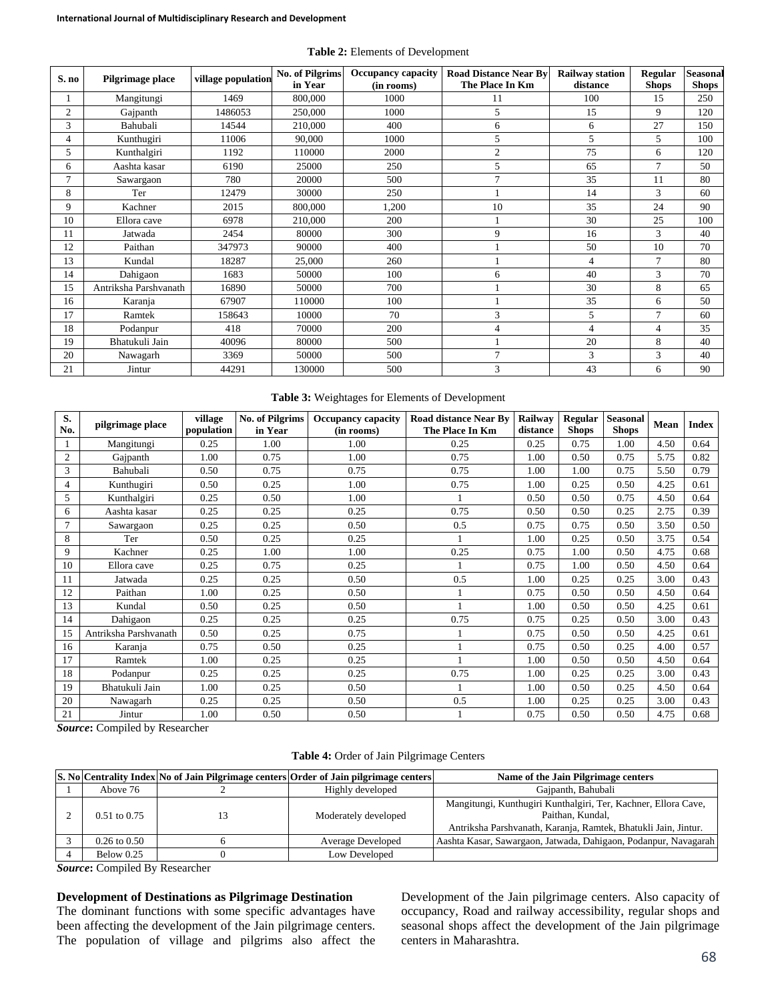| Table 2: Elements of Development |
|----------------------------------|
|----------------------------------|

| S. no          | Pilgrimage place      | village population | <b>No. of Pilgrims</b><br>in Year | <b>Occupancy capacity</b><br>(in rooms) | <b>Road Distance Near By</b><br>The Place In Km | <b>Railway station</b><br>distance | Regular<br><b>Shops</b> | Seasonal<br><b>Shops</b> |
|----------------|-----------------------|--------------------|-----------------------------------|-----------------------------------------|-------------------------------------------------|------------------------------------|-------------------------|--------------------------|
|                | Mangitungi            | 1469               | 800,000                           | 1000                                    | 11                                              | 100                                | 15                      | 250                      |
| $\overline{2}$ | Gajpanth              | 1486053            | 250,000                           | 1000                                    | 5                                               | 15                                 | 9                       | 120                      |
| 3              | Bahubali              | 14544              | 210,000                           | 400                                     | 6                                               | 6                                  | 27                      | 150                      |
| 4              | Kunthugiri            | 11006              | 90,000                            | 1000                                    | 5                                               | 5                                  | 5                       | 100                      |
| 5              | Kunthalgiri           | 1192               | 110000                            | 2000                                    | $\overline{2}$                                  | 75                                 | 6                       | 120                      |
| 6              | Aashta kasar          | 6190               | 25000                             | 250                                     | 5                                               | 65                                 | 7                       | 50                       |
|                | Sawargaon             | 780                | 20000                             | 500                                     | $\overline{ }$                                  | 35                                 | 11                      | 80                       |
| 8              | Ter                   | 12479              | 30000                             | 250                                     |                                                 | 14                                 | 3                       | 60                       |
| 9              | Kachner               | 2015               | 800,000                           | 1,200                                   | 10                                              | 35                                 | 24                      | 90                       |
| 10             | Ellora cave           | 6978               | 210,000                           | 200                                     |                                                 | 30                                 | 25                      | 100                      |
| 11             | Jatwada               | 2454               | 80000                             | 300                                     | 9                                               | 16                                 | 3                       | 40                       |
| 12             | Paithan               | 347973             | 90000                             | 400                                     |                                                 | 50                                 | 10                      | 70                       |
| 13             | Kundal                | 18287              | 25,000                            | 260                                     |                                                 | $\overline{4}$                     | 7                       | 80                       |
| 14             | Dahigaon              | 1683               | 50000                             | 100                                     | 6                                               | 40                                 | 3                       | 70                       |
| 15             | Antriksha Parshvanath | 16890              | 50000                             | 700                                     |                                                 | 30                                 | 8                       | 65                       |
| 16             | Karanja               | 67907              | 110000                            | 100                                     |                                                 | 35                                 | 6                       | 50                       |
| 17             | Ramtek                | 158643             | 10000                             | 70                                      | 3                                               | 5                                  | $\overline{7}$          | 60                       |
| 18             | Podanpur              | 418                | 70000                             | 200                                     | 4                                               | 4                                  | 4                       | 35                       |
| 19             | Bhatukuli Jain        | 40096              | 80000                             | 500                                     |                                                 | 20                                 | 8                       | 40                       |
| 20             | Nawagarh              | 3369               | 50000                             | 500                                     | $\overline{7}$                                  | 3                                  | 3                       | 40                       |
| 21             | Jintur                | 44291              | 130000                            | 500                                     | 3                                               | 43                                 | 6                       | 90                       |

#### **Table 3:** Weightages for Elements of Development

| S.<br>No.      | pilgrimage place      | village<br>population | <b>No. of Pilgrims</b><br>in Year | <b>Occupancy capacity</b><br>(in rooms) | <b>Road distance Near By</b><br>The Place In Km | Railway<br>distance | Regular<br><b>Shops</b> | <b>Seasonal</b><br><b>Shops</b> | Mean | <b>Index</b> |
|----------------|-----------------------|-----------------------|-----------------------------------|-----------------------------------------|-------------------------------------------------|---------------------|-------------------------|---------------------------------|------|--------------|
|                | Mangitungi            | 0.25                  | 1.00                              | 1.00                                    | 0.25                                            | 0.25                | 0.75                    | 1.00                            | 4.50 | 0.64         |
| $\overline{c}$ | Gajpanth              | 1.00                  | 0.75                              | 1.00                                    | 0.75                                            | 1.00                | 0.50                    | 0.75                            | 5.75 | 0.82         |
| 3              | Bahubali              | 0.50                  | 0.75                              | 0.75                                    | 0.75                                            | 1.00                | 1.00                    | 0.75                            | 5.50 | 0.79         |
| $\overline{4}$ | Kunthugiri            | 0.50                  | 0.25                              | 1.00                                    | 0.75                                            | 1.00                | 0.25                    | 0.50                            | 4.25 | 0.61         |
| 5              | Kunthalgiri           | 0.25                  | 0.50                              | 1.00                                    |                                                 | 0.50                | 0.50                    | 0.75                            | 4.50 | 0.64         |
| 6              | Aashta kasar          | 0.25                  | 0.25                              | 0.25                                    | 0.75                                            | 0.50                | 0.50                    | 0.25                            | 2.75 | 0.39         |
| 7              | Sawargaon             | 0.25                  | 0.25                              | 0.50                                    | 0.5                                             | 0.75                | 0.75                    | 0.50                            | 3.50 | 0.50         |
| 8              | Ter                   | 0.50                  | 0.25                              | 0.25                                    |                                                 | 1.00                | 0.25                    | 0.50                            | 3.75 | 0.54         |
| 9              | Kachner               | 0.25                  | 1.00                              | 1.00                                    | 0.25                                            | 0.75                | 1.00                    | 0.50                            | 4.75 | 0.68         |
| 10             | Ellora cave           | 0.25                  | 0.75                              | 0.25                                    |                                                 | 0.75                | 1.00                    | 0.50                            | 4.50 | 0.64         |
| 11             | Jatwada               | 0.25                  | 0.25                              | 0.50                                    | 0.5                                             | 1.00                | 0.25                    | 0.25                            | 3.00 | 0.43         |
| 12             | Paithan               | 1.00                  | 0.25                              | 0.50                                    |                                                 | 0.75                | 0.50                    | 0.50                            | 4.50 | 0.64         |
| 13             | Kundal                | 0.50                  | 0.25                              | 0.50                                    |                                                 | 1.00                | 0.50                    | 0.50                            | 4.25 | 0.61         |
| 14             | Dahigaon              | 0.25                  | 0.25                              | 0.25                                    | 0.75                                            | 0.75                | 0.25                    | 0.50                            | 3.00 | 0.43         |
| 15             | Antriksha Parshvanath | 0.50                  | 0.25                              | 0.75                                    |                                                 | 0.75                | 0.50                    | 0.50                            | 4.25 | 0.61         |
| 16             | Karanja               | 0.75                  | 0.50                              | 0.25                                    |                                                 | 0.75                | 0.50                    | 0.25                            | 4.00 | 0.57         |
| 17             | Ramtek                | 1.00                  | 0.25                              | 0.25                                    |                                                 | 1.00                | 0.50                    | 0.50                            | 4.50 | 0.64         |
| 18             | Podanpur              | 0.25                  | 0.25                              | 0.25                                    | 0.75                                            | 1.00                | 0.25                    | 0.25                            | 3.00 | 0.43         |
| 19             | Bhatukuli Jain        | 1.00                  | 0.25                              | 0.50                                    | $\mathbf{1}$                                    | 1.00                | 0.50                    | 0.25                            | 4.50 | 0.64         |
| 20             | Nawagarh              | 0.25                  | 0.25                              | 0.50                                    | 0.5                                             | 1.00                | 0.25                    | 0.25                            | 3.00 | 0.43         |
| 21             | Jintur                | 1.00                  | 0.50                              | 0.50                                    |                                                 | 0.75                | 0.50                    | 0.50                            | 4.75 | 0.68         |

*Source***:** Compiled by Researcher

**Table 4:** Order of Jain Pilgrimage Centers

|                         | S. No Centrality Index No of Jain Pilgrimage centers Order of Jain pilgrimage centers | Name of the Jain Pilgrimage centers                                                                                                                  |
|-------------------------|---------------------------------------------------------------------------------------|------------------------------------------------------------------------------------------------------------------------------------------------------|
| Above 76                | Highly developed                                                                      | Gajpanth, Bahubali                                                                                                                                   |
| $0.51$ to $0.75$        | Moderately developed                                                                  | Mangitungi, Kunthugiri Kunthalgiri, Ter, Kachner, Ellora Cave,<br>Paithan, Kundal,<br>Antriksha Parshvanath, Karanja, Ramtek, Bhatukli Jain, Jintur. |
| $0.26 \text{ to } 0.50$ | Average Developed                                                                     | Aashta Kasar, Sawargaon, Jatwada, Dahigaon, Podanpur, Navagarah                                                                                      |
| Below $0.25$            | Low Developed                                                                         |                                                                                                                                                      |

*Source***:** Compiled By Researcher

# **Development of Destinations as Pilgrimage Destination**

The dominant functions with some specific advantages have been affecting the development of the Jain pilgrimage centers. The population of village and pilgrims also affect the Development of the Jain pilgrimage centers. Also capacity of occupancy, Road and railway accessibility, regular shops and seasonal shops affect the development of the Jain pilgrimage centers in Maharashtra.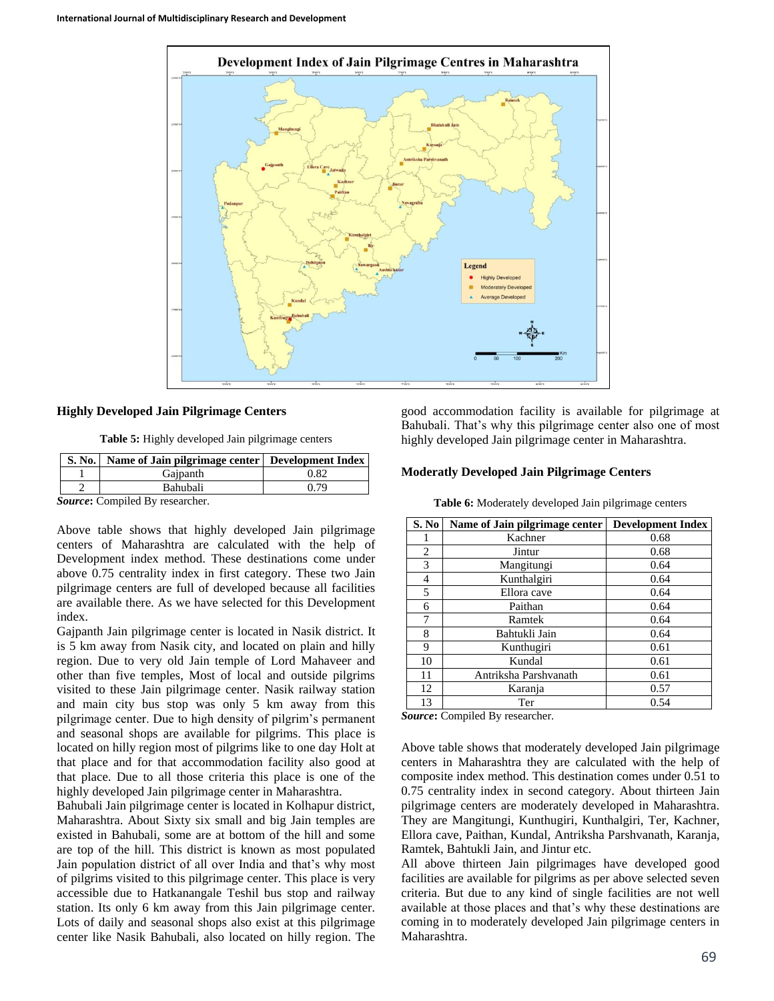

# **Highly Developed Jain Pilgrimage Centers**

**Table 5:** Highly developed Jain pilgrimage centers

|        | S. No.   Name of Jain pilgrimage center   Development Index |      |
|--------|-------------------------------------------------------------|------|
|        | Gaipanth                                                    | 0.82 |
|        | <b>Bahubali</b>                                             | በ 79 |
| $\sim$ |                                                             |      |

*Source***:** Compiled By researcher.

Above table shows that highly developed Jain pilgrimage centers of Maharashtra are calculated with the help of Development index method. These destinations come under above 0.75 centrality index in first category. These two Jain pilgrimage centers are full of developed because all facilities are available there. As we have selected for this Development index.

Gajpanth Jain pilgrimage center is located in Nasik district. It is 5 km away from Nasik city, and located on plain and hilly region. Due to very old Jain temple of Lord Mahaveer and other than five temples, Most of local and outside pilgrims visited to these Jain pilgrimage center. Nasik railway station and main city bus stop was only 5 km away from this pilgrimage center. Due to high density of pilgrim's permanent and seasonal shops are available for pilgrims. This place is located on hilly region most of pilgrims like to one day Holt at that place and for that accommodation facility also good at that place. Due to all those criteria this place is one of the highly developed Jain pilgrimage center in Maharashtra.

Bahubali Jain pilgrimage center is located in Kolhapur district, Maharashtra. About Sixty six small and big Jain temples are existed in Bahubali, some are at bottom of the hill and some are top of the hill. This district is known as most populated Jain population district of all over India and that's why most of pilgrims visited to this pilgrimage center. This place is very accessible due to Hatkanangale Teshil bus stop and railway station. Its only 6 km away from this Jain pilgrimage center. Lots of daily and seasonal shops also exist at this pilgrimage center like Nasik Bahubali, also located on hilly region. The good accommodation facility is available for pilgrimage at Bahubali. That's why this pilgrimage center also one of most highly developed Jain pilgrimage center in Maharashtra.

#### **Moderatly Developed Jain Pilgrimage Centers**

| S. No          | Name of Jain pilgrimage center | <b>Development Index</b> |
|----------------|--------------------------------|--------------------------|
|                | Kachner                        | 0.68                     |
| $\mathfrak{D}$ | Jintur                         | 0.68                     |
| 3              | Mangitungi                     | 0.64                     |
| 4              | Kunthalgiri                    | 0.64                     |
| 5              | Ellora cave                    | 0.64                     |
| 6              | Paithan                        | 0.64                     |
| 7              | Ramtek                         | 0.64                     |
| 8              | Bahtukli Jain                  | 0.64                     |
| 9              | Kunthugiri                     | 0.61                     |
| 10             | Kundal                         | 0.61                     |
| 11             | Antriksha Parshvanath          | 0.61                     |
| 12             | Karanja                        | 0.57                     |
| 13             | Ter                            | 0.54                     |

**Table 6:** Moderately developed Jain pilgrimage centers

*Source***:** Compiled By researcher.

Above table shows that moderately developed Jain pilgrimage centers in Maharashtra they are calculated with the help of composite index method. This destination comes under 0.51 to 0.75 centrality index in second category. About thirteen Jain pilgrimage centers are moderately developed in Maharashtra. They are Mangitungi, Kunthugiri, Kunthalgiri, Ter, Kachner, Ellora cave, Paithan, Kundal, Antriksha Parshvanath, Karanja, Ramtek, Bahtukli Jain, and Jintur etc.

All above thirteen Jain pilgrimages have developed good facilities are available for pilgrims as per above selected seven criteria. But due to any kind of single facilities are not well available at those places and that's why these destinations are coming in to moderately developed Jain pilgrimage centers in Maharashtra.